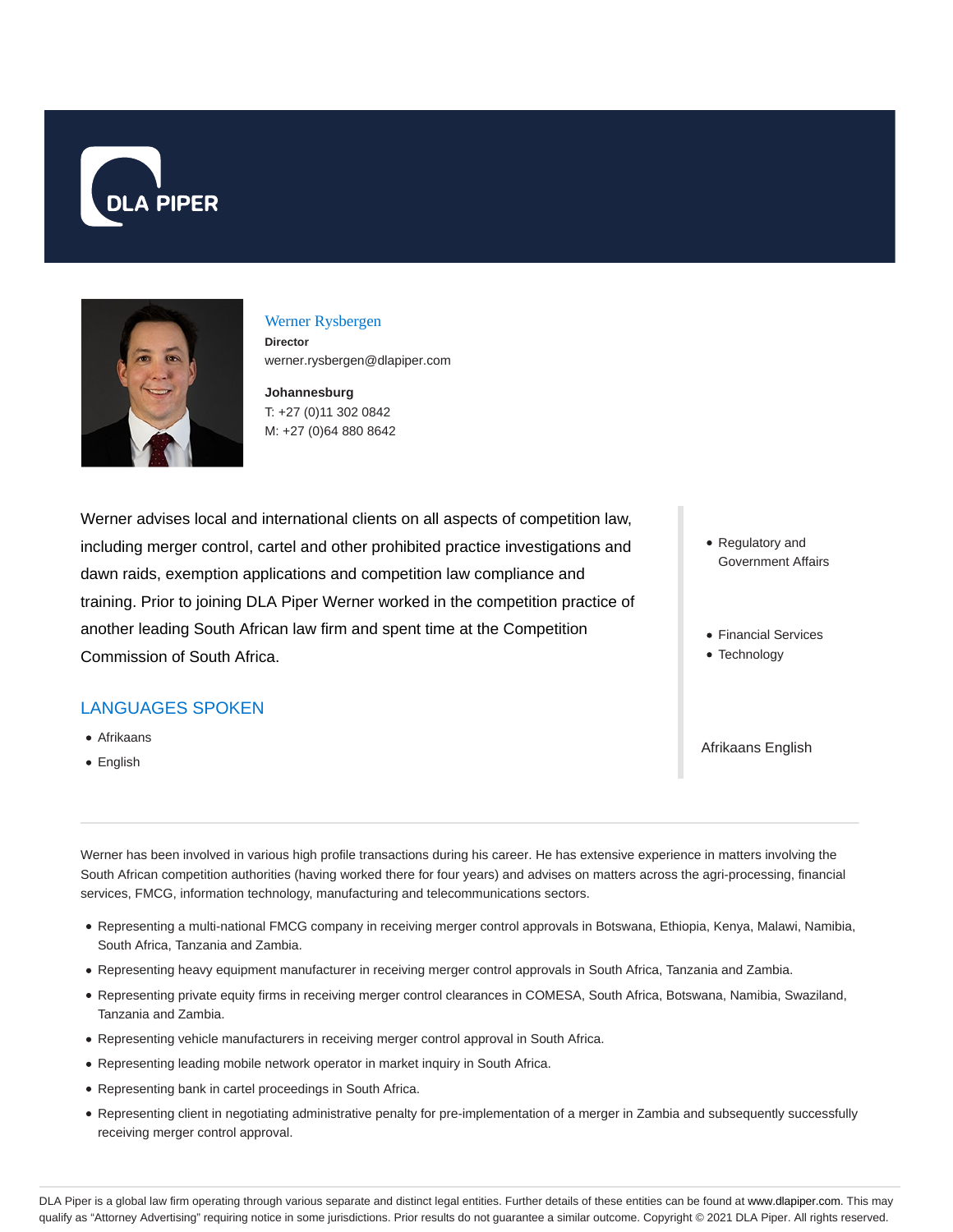



### Werner Rysbergen

**Director** werner.rysbergen@dlapiper.com

**Johannesburg** T: +27 (0)11 302 0842 M: +27 (0)64 880 8642

Werner advises local and international clients on all aspects of competition law, including merger control, cartel and other prohibited practice investigations and dawn raids, exemption applications and competition law compliance and training. Prior to joining DLA Piper Werner worked in the competition practice of another leading South African law firm and spent time at the Competition Commission of South Africa.

# LANGUAGES SPOKEN

- Afrikaans
- English
- Regulatory and Government Affairs
- Financial Services
- Technology

Afrikaans English

Werner has been involved in various high profile transactions during his career. He has extensive experience in matters involving the South African competition authorities (having worked there for four years) and advises on matters across the agri-processing, financial services, FMCG, information technology, manufacturing and telecommunications sectors.

- Representing a multi-national FMCG company in receiving merger control approvals in Botswana, Ethiopia, Kenya, Malawi, Namibia, South Africa, Tanzania and Zambia.
- Representing heavy equipment manufacturer in receiving merger control approvals in South Africa, Tanzania and Zambia.
- Representing private equity firms in receiving merger control clearances in COMESA, South Africa, Botswana, Namibia, Swaziland, Tanzania and Zambia.
- Representing vehicle manufacturers in receiving merger control approval in South Africa.
- Representing leading mobile network operator in market inquiry in South Africa.
- Representing bank in cartel proceedings in South Africa.
- Representing client in negotiating administrative penalty for pre-implementation of a merger in Zambia and subsequently successfully receiving merger control approval.

DLA Piper is a global law firm operating through various separate and distinct legal entities. Further details of these entities can be found at www.dlapiper.com. This may qualify as "Attorney Advertising" requiring notice in some jurisdictions. Prior results do not guarantee a similar outcome. Copyright @ 2021 DLA Piper. All rights reserved.